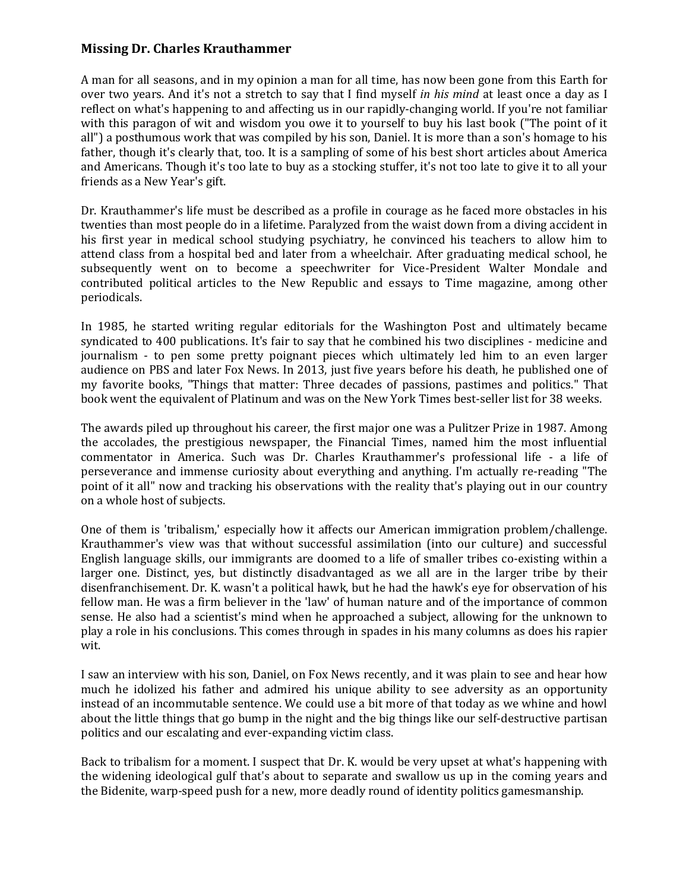## **Missing Dr. Charles Krauthammer**

A man for all seasons, and in my opinion a man for all time, has now been gone from this Earth for over two years. And it's not a stretch to say that I find myself *in his mind* at least once a day as I reflect on what's happening to and affecting us in our rapidly-changing world. If you're not familiar with this paragon of wit and wisdom you owe it to yourself to buy his last book ("The point of it all") a posthumous work that was compiled by his son, Daniel. It is more than a son's homage to his father, though it's clearly that, too. It is a sampling of some of his best short articles about America and Americans. Though it's too late to buy as a stocking stuffer, it's not too late to give it to all your friends as a New Year's gift.

Dr. Krauthammer's life must be described as a profile in courage as he faced more obstacles in his twenties than most people do in a lifetime. Paralyzed from the waist down from a diving accident in his first year in medical school studying psychiatry, he convinced his teachers to allow him to attend class from a hospital bed and later from a wheelchair. After graduating medical school, he subsequently went on to become a speechwriter for Vice-President Walter Mondale and contributed political articles to the New Republic and essays to Time magazine, among other periodicals.

In 1985, he started writing regular editorials for the Washington Post and ultimately became syndicated to 400 publications. It's fair to say that he combined his two disciplines - medicine and journalism - to pen some pretty poignant pieces which ultimately led him to an even larger audience on PBS and later Fox News. In 2013, just five years before his death, he published one of my favorite books, "Things that matter: Three decades of passions, pastimes and politics." That book went the equivalent of Platinum and was on the New York Times best-seller list for 38 weeks.

The awards piled up throughout his career, the first major one was a Pulitzer Prize in 1987. Among the accolades, the prestigious newspaper, the Financial Times, named him the most influential commentator in America. Such was Dr. Charles Krauthammer's professional life - a life of perseverance and immense curiosity about everything and anything. I'm actually re-reading "The point of it all" now and tracking his observations with the reality that's playing out in our country on a whole host of subjects.

One of them is 'tribalism,' especially how it affects our American immigration problem/challenge. Krauthammer's view was that without successful assimilation (into our culture) and successful English language skills, our immigrants are doomed to a life of smaller tribes co-existing within a larger one. Distinct, yes, but distinctly disadvantaged as we all are in the larger tribe by their disenfranchisement. Dr. K. wasn't a political hawk, but he had the hawk's eye for observation of his fellow man. He was a firm believer in the 'law' of human nature and of the importance of common sense. He also had a scientist's mind when he approached a subject, allowing for the unknown to play a role in his conclusions. This comes through in spades in his many columns as does his rapier wit.

I saw an interview with his son, Daniel, on Fox News recently, and it was plain to see and hear how much he idolized his father and admired his unique ability to see adversity as an opportunity instead of an incommutable sentence. We could use a bit more of that today as we whine and howl about the little things that go bump in the night and the big things like our self-destructive partisan politics and our escalating and ever-expanding victim class.

Back to tribalism for a moment. I suspect that Dr. K. would be very upset at what's happening with the widening ideological gulf that's about to separate and swallow us up in the coming years and the Bidenite, warp-speed push for a new, more deadly round of identity politics gamesmanship.